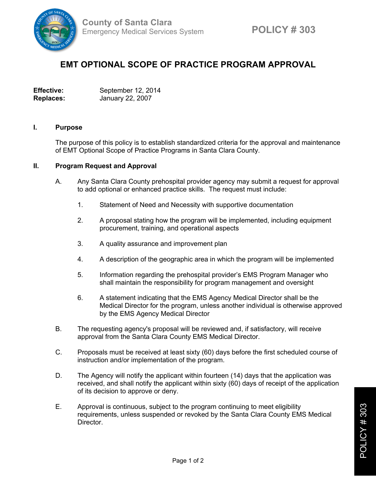

## **EMT OPTIONAL SCOPE OF PRACTICE PROGRAM APPROVAL**

**Effective:** September 12, 2014 **Replaces:** January 22, 2007

## **I. Purpose**

The purpose of this policy is to establish standardized criteria for the approval and maintenance of EMT Optional Scope of Practice Programs in Santa Clara County.

## **II. Program Request and Approval**

- A. Any Santa Clara County prehospital provider agency may submit a request for approval to add optional or enhanced practice skills. The request must include:
	- 1. Statement of Need and Necessity with supportive documentation
	- 2. A proposal stating how the program will be implemented, including equipment procurement, training, and operational aspects
	- 3. A quality assurance and improvement plan
	- 4. A description of the geographic area in which the program will be implemented
	- 5. Information regarding the prehospital provider's EMS Program Manager who shall maintain the responsibility for program management and oversight
	- 6. A statement indicating that the EMS Agency Medical Director shall be the Medical Director for the program, unless another individual is otherwise approved by the EMS Agency Medical Director
- B. The requesting agency's proposal will be reviewed and, if satisfactory, will receive approval from the Santa Clara County EMS Medical Director.
- C. Proposals must be received at least sixty (60) days before the first scheduled course of instruction and/or implementation of the program.
- D. The Agency will notify the applicant within fourteen (14) days that the application was received, and shall notify the applicant within sixty (60) days of receipt of the application of its decision to approve or deny.
- E. Approval is continuous, subject to the program continuing to meet eligibility requirements, unless suspended or revoked by the Santa Clara County EMS Medical Director.